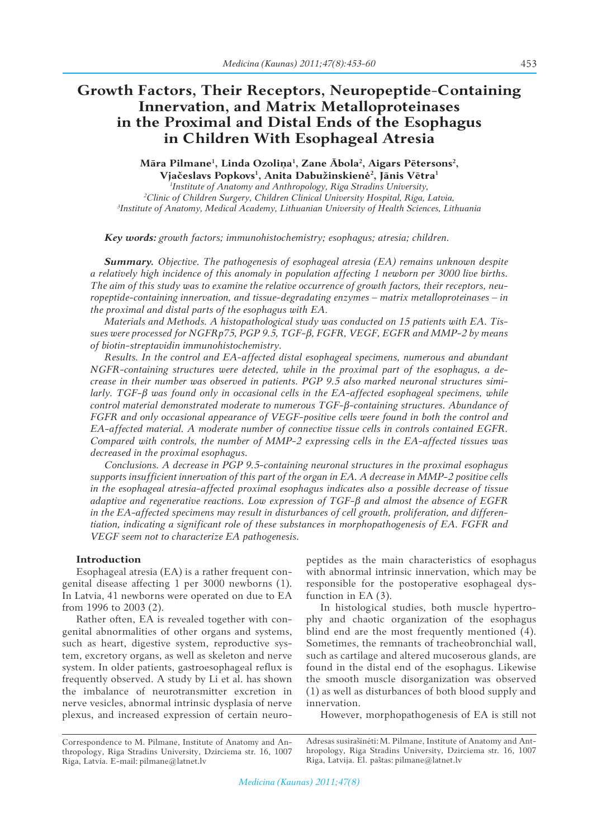# **Growth Factors, Their Receptors, Neuropeptide-Containing Innervation, and Matrix Metalloproteinases in the Proximal and Distal Ends of the Esophagus in Children With Esophageal Atresia**

### **Māra Pilmane<sup>1</sup> , Linda Ozoliņa<sup>1</sup> , Zane Ābola<sup>2</sup> , Aigars Pētersons<sup>2</sup> , Vjačeslavs Popkovs<sup>1</sup> , Anita Dabužinskienė<sup>2</sup> , Jānis Vētra<sup>1</sup>**

*1 Institute of Anatomy and Anthropology, Riga Stradins University,* <sup>2</sup> Clinic of Children Surgery, Children Clinical University Hospital, Riga, Latvia, *3 Institute of Anatomy, Medical Academy, Lithuanian University of Health Sciences, Lithuania*

*Key words: growth factors; immunohistochemistry; esophagus; atresia; children.*

*Summary. Objective. The pathogenesis of esophageal atresia (EA) remains unknown despite a relatively high incidence of this anomaly in population affecting 1 newborn per 3000 live births. The aim of this study was to examine the relative occurrence of growth factors, their receptors, neuropeptide-containing innervation, and tissue-degradating enzymes – matrix metalloproteinases – in the proximal and distal parts of the esophagus with EA.*

*Materials and Methods. A histopathological study was conducted on 15 patients with EA. Tissues were processed for NGFRp75, PGP 9.5, TGF-β, FGFR, VEGF, EGFR and MMP-2 by means of biotin-streptavidin immunohistochemistry.*

*Results. In the control and EA-affected distal esophageal specimens, numerous and abundant NGFR-containing structures were detected, while in the proximal part of the esophagus, a decrease in their number was observed in patients. PGP 9.5 also marked neuronal structures similarly. TGF-β was found only in occasional cells in the EA-affected esophageal specimens, while control material demonstrated moderate to numerous TGF-β-containing structures. Abundance of FGFR and only occasional appearance of VEGF-positive cells were found in both the control and EA-affected material. A moderate number of connective tissue cells in controls contained EGFR. Compared with controls, the number of MMP-2 expressing cells in the EA-affected tissues was decreased in the proximal esophagus.*

*Conclusions. A decrease in PGP 9.5-containing neuronal structures in the proximal esophagus supports insufficient innervation of this part of the organ in EA. A decrease in MMP-2 positive cells in the esophageal atresia-affected proximal esophagus indicates also a possible decrease of tissue adaptive and regenerative reactions. Low expression of TGF-β and almost the absence of EGFR in the EA-affected specimens may result in disturbances of cell growth, proliferation, and differentiation, indicating a significant role of these substances in morphopathogenesis of EA. FGFR and VEGF seem not to characterize EA pathogenesis.*

#### **Introduction**

Esophageal atresia (EA) is a rather frequent congenital disease affecting 1 per 3000 newborns (1). In Latvia, 41 newborns were operated on due to EA from 1996 to 2003 (2).

Rather often, EA is revealed together with congenital abnormalities of other organs and systems, such as heart, digestive system, reproductive system, excretory organs, as well as skeleton and nerve system. In older patients, gastroesophageal reflux is frequently observed. A study by Li et al. has shown the imbalance of neurotransmitter excretion in nerve vesicles, abnormal intrinsic dysplasia of nerve plexus, and increased expression of certain neuropeptides as the main characteristics of esophagus with abnormal intrinsic innervation, which may be responsible for the postoperative esophageal dysfunction in EA (3).

In histological studies, both muscle hypertrophy and chaotic organization of the esophagus blind end are the most frequently mentioned (4). Sometimes, the remnants of tracheobronchial wall, such as cartilage and altered mucoserous glands, are found in the distal end of the esophagus. Likewise the smooth muscle disorganization was observed (1) as well as disturbances of both blood supply and innervation.

However, morphopathogenesis of EA is still not

Correspondence to M. Pilmane, Institute of Anatomy and Anthropology, Riga Stradins University, Dzirciema str. 16, 1007 Riga, Latvia. E-mail: pilmane@latnet.lv

Adresas susirašinėti: M. Pilmane, Institute of Anatomy and Anthropology, Riga Stradins University, Dzirciema str. 16, 1007 Riga, Latvija. El. paštas: pilmane@latnet.lv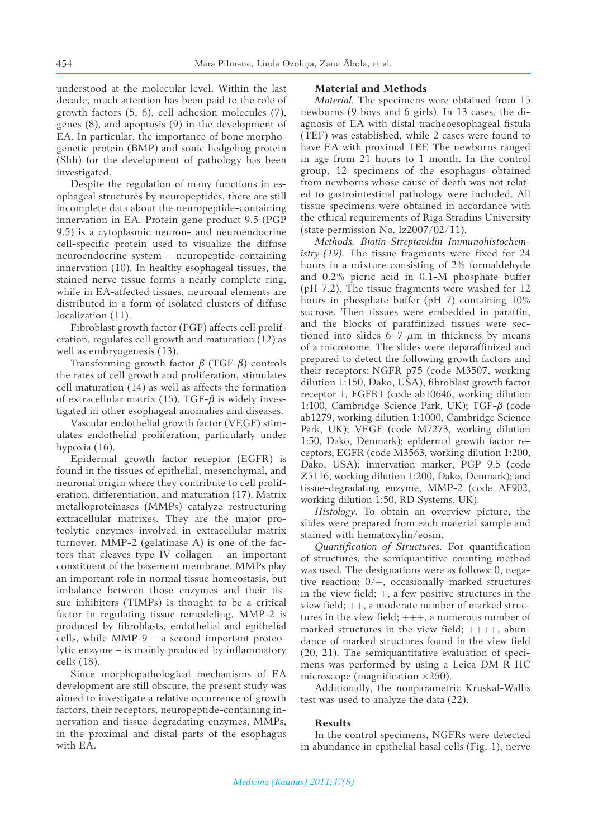understood at the molecular level. Within the last decade, much attention has been paid to the role of growth factors (5, 6), cell adhesion molecules (7), genes (8), and apoptosis (9) in the development of EA. In particular, the importance of bone morphogenetic protein (BMP) and sonic hedgehog protein (Shh) for the development of pathology has been investigated.

Despite the regulation of many functions in esophageal structures by neuropeptides, there are still incomplete data about the neuropeptide-containing innervation in EA. Protein gene product 9.5 (PGP 9.5) is a cytoplasmic neuron- and neuroendocrine cell-specific protein used to visualize the diffuse neuroendocrine system – neuropeptide-containing innervation (10). In healthy esophageal tissues, the stained nerve tissue forms a nearly complete ring, while in EA-affected tissues, neuronal elements are distributed in a form of isolated clusters of diffuse localization (11).

Fibroblast growth factor (FGF) affects cell proliferation, regulates cell growth and maturation (12) as well as embryogenesis (13).

Transforming growth factor *β* (TGF-*β*) controls the rates of cell growth and proliferation, stimulates cell maturation (14) as well as affects the formation of extracellular matrix (15). TGF-*β* is widely investigated in other esophageal anomalies and diseases.

Vascular endothelial growth factor (VEGF) stimulates endothelial proliferation, particularly under hypoxia (16).

Epidermal growth factor receptor (EGFR) is found in the tissues of epithelial, mesenchymal, and neuronal origin where they contribute to cell proliferation, differentiation, and maturation (17). Matrix metalloproteinases (MMPs) catalyze restructuring extracellular matrixes. They are the major proteolytic enzymes involved in extracellular matrix turnover. MMP-2 (gelatinase A) is one of the factors that cleaves type IV collagen – an important constituent of the basement membrane. MMPs play an important role in normal tissue homeostasis, but imbalance between those enzymes and their tissue inhibitors (TIMPs) is thought to be a critical factor in regulating tissue remodeling. MMP-2 is produced by fibroblasts, endothelial and epithelial cells, while MMP-9 – a second important proteolytic enzyme – is mainly produced by inflammatory cells (18).

Since morphopathological mechanisms of EA development are still obscure, the present study was aimed to investigate a relative occurrence of growth factors, their receptors, neuropeptide-containing innervation and tissue-degradating enzymes, MMPs, in the proximal and distal parts of the esophagus with EA.

#### **Material and Methods**

*Material.* The specimens were obtained from 15 newborns (9 boys and 6 girls). In 13 cases, the diagnosis of EA with distal tracheoesophageal fistula (TEF) was established, while 2 cases were found to have EA with proximal TEF. The newborns ranged in age from 21 hours to 1 month. In the control group, 12 specimens of the esophagus obtained from newborns whose cause of death was not related to gastrointestinal pathology were included. All tissue specimens were obtained in accordance with the ethical requirements of Riga Stradins University (state permission No. Iz2007/02/11).

*Methods. Biotin-streptavidin Immunohistochemistry (19).* The tissue fragments were fixed for 24 hours in a mixture consisting of 2% formaldehyde and 0.2% picric acid in 0.1-M phosphate buffer (pH 7.2). The tissue fragments were washed for 12 hours in phosphate buffer (pH 7) containing 10% sucrose. Then tissues were embedded in paraffin, and the blocks of paraffinized tissues were sectioned into slides  $6 - 7 - \mu m$  in thickness by means of a microtome. The slides were deparaffinized and prepared to detect the following growth factors and their receptors: NGFR p75 (code M3507, working dilution 1:150, Dako, USA), fibroblast growth factor receptor 1, FGFR1 (code ab10646, working dilution 1:100, Cambridge Science Park, UK); TGF-*β* (code ab1279, working dilution 1:1000, Cambridge Science Park, UK); VEGF (code M7273, working dilution 1:50, Dako, Denmark); epidermal growth factor receptors, EGFR (code M3563, working dilution 1:200, Dako, USA); innervation marker, PGP 9.5 (code Z5116, working dilution 1:200, Dako, Denmark); and tissue-degradating enzyme, MMP-2 (code AF902, working dilution 1:50, RD Systems, UK).

*Histology.* To obtain an overview picture, the slides were prepared from each material sample and stained with hematoxylin/eosin.

*Quantification of Structures.* For quantification of structures, the semiquantitive counting method was used. The designations were as follows: 0, negative reaction; 0/+, occasionally marked structures in the view field;  $+$ , a few positive structures in the view field; ++, a moderate number of marked structures in the view field;  $+++$ , a numerous number of marked structures in the view field; ++++, abundance of marked structures found in the view field (20, 21). The semiquantitative evaluation of specimens was performed by using a Leica DM R HC microscope (magnification  $\times$ 250).

Additionally, the nonparametric Kruskal-Wallis test was used to analyze the data (22).

#### **Results**

In the control specimens, NGFRs were detected in abundance in epithelial basal cells (Fig. 1), nerve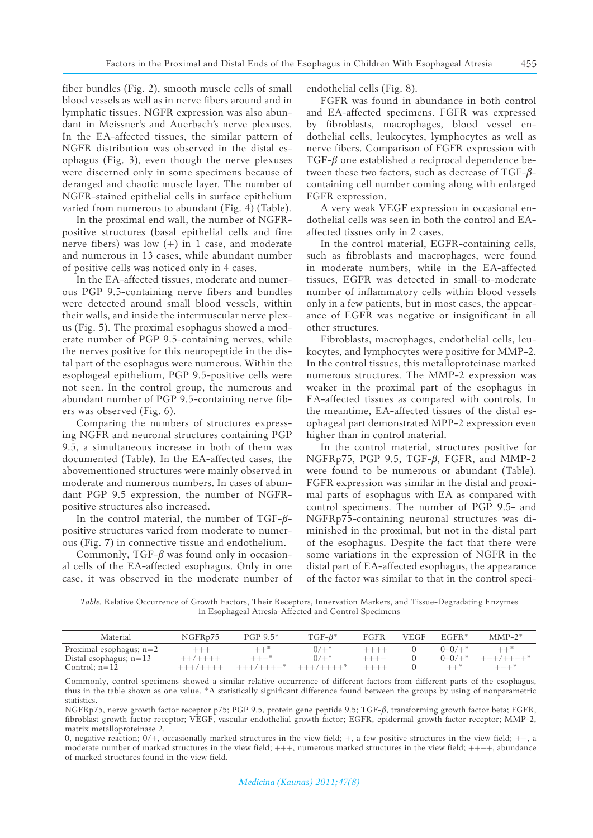fiber bundles (Fig. 2), smooth muscle cells of small blood vessels as well as in nerve fibers around and in lymphatic tissues. NGFR expression was also abundant in Meissner's and Auerbach's nerve plexuses. In the EA-affected tissues, the similar pattern of NGFR distribution was observed in the distal esophagus (Fig. 3), even though the nerve plexuses were discerned only in some specimens because of deranged and chaotic muscle layer. The number of NGFR-stained epithelial cells in surface epithelium varied from numerous to abundant (Fig. 4) (Table).

In the proximal end wall, the number of NGFRpositive structures (basal epithelial cells and fine nerve fibers) was low  $(+)$  in 1 case, and moderate and numerous in 13 cases, while abundant number of positive cells was noticed only in 4 cases.

In the EA-affected tissues, moderate and numerous PGP 9.5-containing nerve fibers and bundles were detected around small blood vessels, within their walls, and inside the intermuscular nerve plexus (Fig. 5). The proximal esophagus showed a moderate number of PGP 9.5-containing nerves, while the nerves positive for this neuropeptide in the distal part of the esophagus were numerous. Within the esophageal epithelium, PGP 9.5-positive cells were not seen. In the control group, the numerous and abundant number of PGP 9.5-containing nerve fibers was observed (Fig. 6).

Comparing the numbers of structures expressing NGFR and neuronal structures containing PGP 9.5, a simultaneous increase in both of them was documented (Table). In the EA-affected cases, the abovementioned structures were mainly observed in moderate and numerous numbers. In cases of abundant PGP 9.5 expression, the number of NGFRpositive structures also increased.

In the control material, the number of TGF-*β*positive structures varied from moderate to numerous (Fig. 7) in connective tissue and endothelium.

Commonly, TGF-*β* was found only in occasional cells of the EA-affected esophagus. Only in one case, it was observed in the moderate number of endothelial cells (Fig. 8).

FGFR was found in abundance in both control and EA-affected specimens. FGFR was expressed by fibroblasts, macrophages, blood vessel endothelial cells, leukocytes, lymphocytes as well as nerve fibers. Comparison of FGFR expression with TGF-*β* one established a reciprocal dependence between these two factors, such as decrease of TGF-*β*containing cell number coming along with enlarged FGFR expression.

A very weak VEGF expression in occasional endothelial cells was seen in both the control and EAaffected tissues only in 2 cases.

In the control material, EGFR-containing cells, such as fibroblasts and macrophages, were found in moderate numbers, while in the EA-affected tissues, EGFR was detected in small-to-moderate number of inflammatory cells within blood vessels only in a few patients, but in most cases, the appearance of EGFR was negative or insignificant in all other structures.

Fibroblasts, macrophages, endothelial cells, leukocytes, and lymphocytes were positive for MMP-2. In the control tissues, this metalloproteinase marked numerous structures. The MMP-2 expression was weaker in the proximal part of the esophagus in EA-affected tissues as compared with controls. In the meantime, EA-affected tissues of the distal esophageal part demonstrated MPP-2 expression even higher than in control material.

In the control material, structures positive for NGFRp75, PGP 9.5, TGF-*β*, FGFR, and MMP-2 were found to be numerous or abundant (Table). FGFR expression was similar in the distal and proximal parts of esophagus with EA as compared with control specimens. The number of PGP 9.5- and NGFRp75-containing neuronal structures was diminished in the proximal, but not in the distal part of the esophagus. Despite the fact that there were some variations in the expression of NGFR in the distal part of EA-affected esophagus, the appearance of the factor was similar to that in the control speci-

*Table.* Relative Occurrence of Growth Factors, Their Receptors, Innervation Markers, and Tissue-Degradating Enzymes in Esophageal Atresia-Affected and Control Specimens

| Material                  | NGFR <sub>p75</sub> | $PGP 9.5*$           | $TGF-\beta^*$ | FGFR    | VEGF | $EGFR*$      | $MMP-2^*$    |
|---------------------------|---------------------|----------------------|---------------|---------|------|--------------|--------------|
| Proximal esophagus; $n=2$ |                     | $++$ *               | $0/+$         |         |      | $0 - 0/ +$ * |              |
| Distal esophagus; $n=13$  | $++/++++$           | $+ + +$ <sup>*</sup> | $0/+$ *       | $+++++$ |      | $0 - 0/ +$ * | $-++/++++$ * |
| Control; $n=12$           |                     |                      |               |         |      |              | $+ + +$ *    |

Commonly, control specimens showed a similar relative occurrence of different factors from different parts of the esophagus, thus in the table shown as one value. \*A statistically significant difference found between the groups by using of nonparametric statistics.

NGFRp75, nerve growth factor receptor p75; PGP 9.5, protein gene peptide 9.5; TGF-*β*, transforming growth factor beta; FGFR, fibroblast growth factor receptor; VEGF, vascular endothelial growth factor; EGFR, epidermal growth factor receptor; MMP-2, matrix metalloproteinase 2.

0, negative reaction; 0/+, occasionally marked structures in the view field; +, a few positive structures in the view field; ++, a moderate number of marked structures in the view field; +++, numerous marked structures in the view field; ++++, abundance of marked structures found in the view field.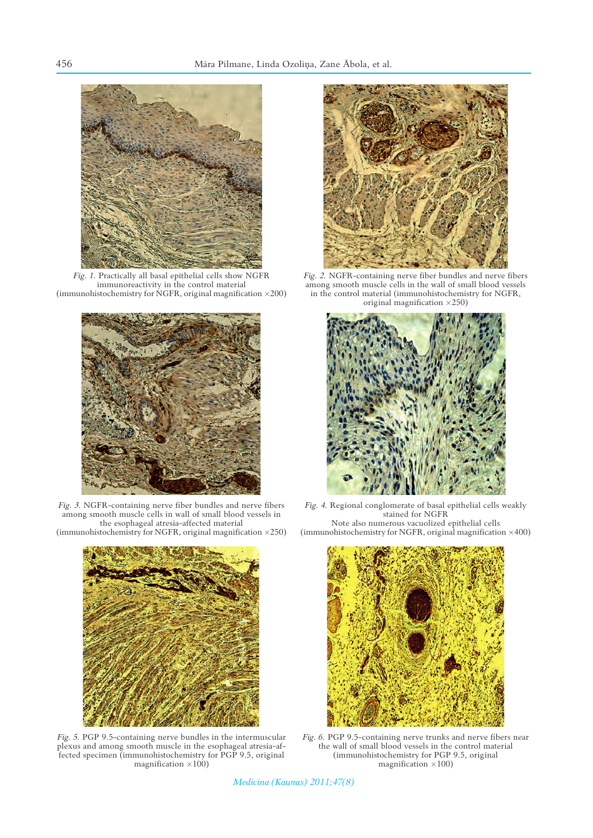

*Fig. 1.* Practically all basal epithelial cells show NGFR immunoreactivity in the control material (immunohistochemistry for NGFR, original magnification  $\times$  200)



*Fig. 3.* NGFR-containing nerve fiber bundles and nerve fibers among smooth muscle cells in wall of small blood vessels in the esophageal atresia-affected material

(immunohistochemistry for NGFR, original magnification ×250)



*Fig. 5.* PGP 9.5-containing nerve bundles in the intermuscular plexus and among smooth muscle in the esophageal atresia-affected specimen (immunohistochemistry for PGP 9.5, original magnification  $\times$ 100)



*Fig. 2.* NGFR-containing nerve fiber bundles and nerve fibers among smooth muscle cells in the wall of small blood vessels in the control material (immunohistochemistry for NGFR, original magnification ×250)



*Fig. 4.* Regional conglomerate of basal epithelial cells weakly stained for NGFR Note also numerous vacuolized epithelial cells

(immunohistochemistry for NGFR, original magnification ×400)



*Fig. 6.* PGP 9.5-containing nerve trunks and nerve fibers near the wall of small blood vessels in the control material (immunohistochemistry for PGP 9.5, original magnification  $\times 100$ )

*Medicina (Kaunas) 2011;47(8)*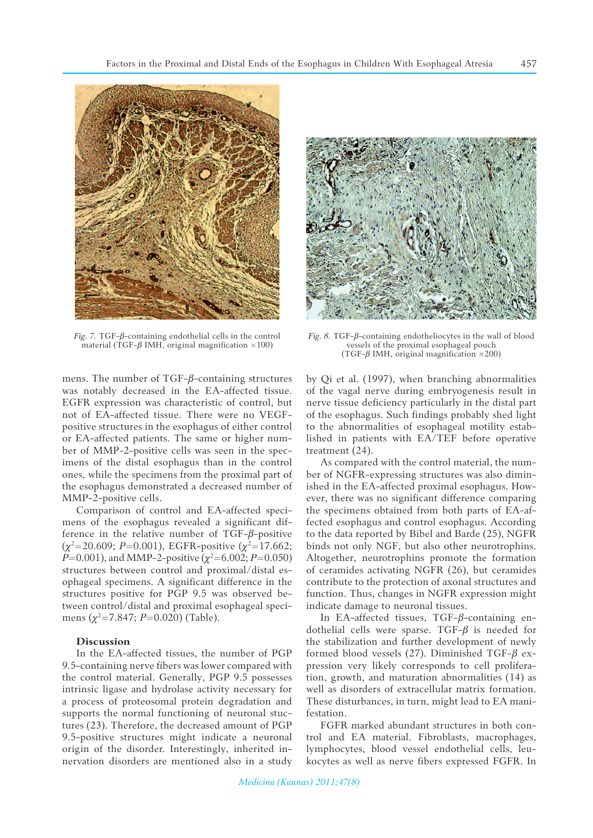

*Fig. 7.* TGF-*β*-containing endothelial cells in the control material (TGF- $\beta$  IMH, original magnification  $\times$ 100)

mens. The number of TGF‑*β*-containing structures was notably decreased in the EA-affected tissue. EGFR expression was characteristic of control, but not of EA-affected tissue. There were no VEGFpositive structures in the esophagus of either control or EA-affected patients. The same or higher number of MMP-2-positive cells was seen in the specimens of the distal esophagus than in the control ones, while the specimens from the proximal part of the esophagus demonstrated a decreased number of MMP-2-positive cells.

Comparison of control and EA-affected specimens of the esophagus revealed a significant difference in the relative number of TGF-*β*-positive  $(\chi^2=20.609; P=0.001)$ , EGFR-positive  $(\chi^2=17.662;$  $P=0.001$ ), and MMP-2-positive ( $\chi^2=6.002; P=0.050$ ) structures between control and proximal/distal esophageal specimens. A significant difference in the structures positive for PGP 9.5 was observed between control/distal and proximal esophageal specimens (χ<sup>2</sup>=7.847; *P*=0.020) (Table).

#### **Discussion**

In the EA-affected tissues, the number of PGP 9.5-containing nerve fibers was lower compared with the control material. Generally, PGP 9.5 possesses intrinsic ligase and hydrolase activity necessary for a process of proteosomal protein degradation and supports the normal functioning of neuronal stuctures (23). Therefore, the decreased amount of PGP 9.5-positive structures might indicate a neuronal origin of the disorder. Interestingly, inherited innervation disorders are mentioned also in a study



*Fig. 8.* TGF-*β*-containing endotheliocytes in the wall of blood vessels of the proximal esophageal pouch (TGF-*β* IMH, original magnification ×200)

by Qi et al. (1997), when branching abnormalities of the vagal nerve during embryogenesis result in nerve tissue deficiency particularly in the distal part of the esophagus. Such findings probably shed light to the abnormalities of esophageal motility established in patients with EA/TEF before operative treatment (24).

As compared with the control material, the number of NGFR-expressing structures was also diminished in the EA-affected proximal esophagus. However, there was no significant difference comparing the specimens obtained from both parts of EA-affected esophagus and control esophagus. According to the data reported by Bibel and Barde (25), NGFR binds not only NGF, but also other neurotrophins. Altogether, neurotrophins promote the formation of ceramides activating NGFR (26), but ceramides contribute to the protection of axonal structures and function. Thus, changes in NGFR expression might indicate damage to neuronal tissues.

In EA-affected tissues, TGF-*β*-containing endothelial cells were sparse. TGF-*β* is needed for the stabilization and further development of newly formed blood vessels (27). Diminished TGF-*β* expression very likely corresponds to cell proliferation, growth, and maturation abnormalities (14) as well as disorders of extracellular matrix formation. These disturbances, in turn, might lead to EA manifestation.

FGFR marked abundant structures in both control and EA material. Fibroblasts, macrophages, lymphocytes, blood vessel endothelial cells, leukocytes as well as nerve fibers expressed FGFR. In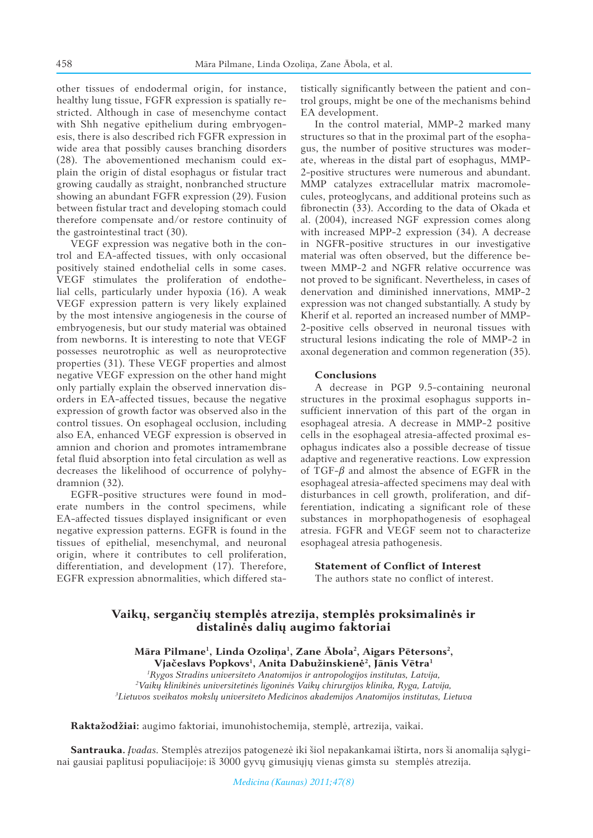other tissues of endodermal origin, for instance, healthy lung tissue, FGFR expression is spatially restricted. Although in case of mesenchyme contact with Shh negative epithelium during embryogenesis, there is also described rich FGFR expression in wide area that possibly causes branching disorders (28). The abovementioned mechanism could explain the origin of distal esophagus or fistular tract growing caudally as straight, nonbranched structure showing an abundant FGFR expression (29). Fusion between fistular tract and developing stomach could therefore compensate and/or restore continuity of the gastrointestinal tract (30).

VEGF expression was negative both in the control and EA-affected tissues, with only occasional positively stained endothelial cells in some cases. VEGF stimulates the proliferation of endothelial cells, particularly under hypoxia (16). A weak VEGF expression pattern is very likely explained by the most intensive angiogenesis in the course of embryogenesis, but our study material was obtained from newborns. It is interesting to note that VEGF possesses neurotrophic as well as neuroprotective properties (31). These VEGF properties and almost negative VEGF expression on the other hand might only partially explain the observed innervation disorders in EA-affected tissues, because the negative expression of growth factor was observed also in the control tissues. On esophageal occlusion, including also EA, enhanced VEGF expression is observed in amnion and chorion and promotes intramembrane fetal fluid absorption into fetal circulation as well as decreases the likelihood of occurrence of polyhydramnion (32).

EGFR-positive structures were found in moderate numbers in the control specimens, while EA-affected tissues displayed insignificant or even negative expression patterns. EGFR is found in the tissues of epithelial, mesenchymal, and neuronal origin, where it contributes to cell proliferation, differentiation, and development (17). Therefore, EGFR expression abnormalities, which differed statistically significantly between the patient and control groups, might be one of the mechanisms behind EA development.

In the control material, MMP-2 marked many structures so that in the proximal part of the esophagus, the number of positive structures was moderate, whereas in the distal part of esophagus, MMP-2-positive structures were numerous and abundant. MMP catalyzes extracellular matrix macromolecules, proteoglycans, and additional proteins such as fibronectin (33). According to the data of Okada et al. (2004), increased NGF expression comes along with increased MPP-2 expression (34). A decrease in NGFR-positive structures in our investigative material was often observed, but the difference between MMP-2 and NGFR relative occurrence was not proved to be significant. Nevertheless, in cases of denervation and diminished innervations, MMP-2 expression was not changed substantially. A study by Kherif et al. reported an increased number of MMP-2-positive cells observed in neuronal tissues with structural lesions indicating the role of MMP-2 in axonal degeneration and common regeneration (35).

### **Conclusions**

A decrease in PGP 9.5-containing neuronal structures in the proximal esophagus supports insufficient innervation of this part of the organ in esophageal atresia. A decrease in MMP-2 positive cells in the esophageal atresia-affected proximal esophagus indicates also a possible decrease of tissue adaptive and regenerative reactions. Low expression of TGF-*β* and almost the absence of EGFR in the esophageal atresia-affected specimens may deal with disturbances in cell growth, proliferation, and differentiation, indicating a significant role of these substances in morphopathogenesis of esophageal atresia. FGFR and VEGF seem not to characterize esophageal atresia pathogenesis.

#### **Statement of Conflict of Interest**

The authors state no conflict of interest.

## **Vaikų, sergančių stemplės atrezija, stemplės proksimalinės ir distalinės dalių augimo faktoriai**

**Māra Pilmane<sup>1</sup> , Linda Ozoliņa<sup>1</sup> , Zane Ābola<sup>2</sup> , Aigars Pētersons<sup>2</sup> , Vjačeslavs Popkovs<sup>1</sup> , Anita Dabužinskienė<sup>2</sup> , Jānis Vētra<sup>1</sup>**

*1 Rygos Stradins universiteto Anatomijos ir antropologijos institutas, Latvija, 2 Vaikų klinikinės universitetinės ligoninės Vaikų chirurgijos klinika, Ryga, Latvija, 3 Lietuvos sveikatos mokslų universiteto Medicinos akademijos Anatomijos institutas, Lietuva*

**Raktažodžiai:** augimo faktoriai, imunohistochemija, stemplė, artrezija, vaikai.

**Santrauka.** *Įvadas.* Stemplės atrezijos patogenezė iki šiol nepakankamai ištirta, nors ši anomalija sąlyginai gausiai paplitusi populiacijoje: iš 3000 gyvų gimusiųjų vienas gimsta su stemplės atrezija.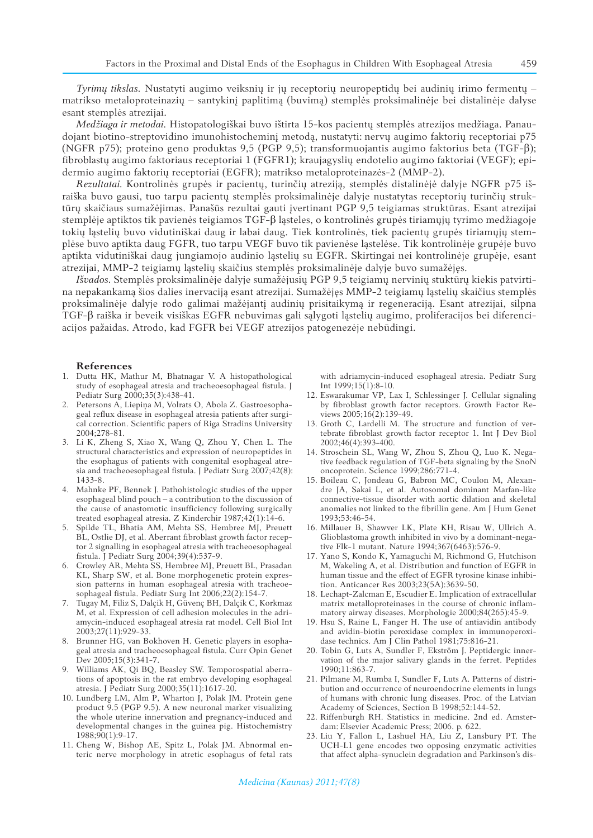*Tyrimų tikslas.* Nustatyti augimo veiksnių ir jų receptorių neuropeptidų bei audinių irimo fermentų – matrikso metaloproteinazių – santykinį paplitimą (buvimą) stemplės proksimalinėje bei distalinėje dalyse esant stemplės atrezijai.

*Medžiaga ir metodai.* Histopatologiškai buvo ištirta 15-kos pacientų stemplės atrezijos medžiaga. Panaudojant biotino-streptovidino imunohistocheminį metodą, nustatyti: nervų augimo faktorių receptoriai p75 (NGFR p75); proteino geno produktas 9,5 (PGP 9,5); transformuojantis augimo faktorius beta (TGF-b); fibroblastų augimo faktoriaus receptoriai 1 (FGFR1); kraujagyslių endotelio augimo faktoriai (VEGF); epidermio augimo faktorių receptoriai (EGFR); matrikso metaloproteinazės-2 (MMP-2).

*Rezultatai.* Kontrolinės grupės ir pacientų, turinčių atreziją, stemplės distalinėjė dalyje NGFR p75 išraiška buvo gausi, tuo tarpu pacientų stemplės proksimalinėje dalyje nustatytas receptorių turinčių struktūrų skaičiaus sumažėjimas. Panašūs rezultai gauti įvertinant PGP 9,5 teigiamas struktūras. Esant atrezijai stemplėje aptiktos tik pavienės teigiamos TGF- $\beta$  lasteles, o kontrolinės grupės tiriamųjų tyrimo medžiagoje tokių ląstelių buvo vidutiniškai daug ir labai daug. Tiek kontrolinės, tiek pacientų grupės tiriamųjų stemplėse buvo aptikta daug FGFR, tuo tarpu VEGF buvo tik pavienėse ląstelėse. Tik kontrolinėje grupėje buvo aptikta vidutiniškai daug jungiamojo audinio ląstelių su EGFR. Skirtingai nei kontrolinėje grupėje, esant atrezijai, MMP-2 teigiamų ląstelių skaičius stemplės proksimalinėje dalyje buvo sumažėjęs.

*Išvados.* Stemplės proksimalinėje dalyje sumažėjusių PGP 9,5 teigiamų nervinių stuktūrų kiekis patvirtina nepakankamą šios dalies inervaciją esant atrezijai. Sumažėjęs MMP-2 teigiamų ląstelių skaičius stemplės proksimalinėje dalyje rodo galimai mažėjantį audinių prisitaikymą ir regeneraciją. Esant atrezijai, silpna TGF-b raiška ir beveik visiškas EGFR nebuvimas gali sąlygoti ląstelių augimo, proliferacijos bei diferenciacijos pažaidas. Atrodo, kad FGFR bei VEGF atrezijos patogenezėje nebūdingi.

#### **References**

- 1. Dutta HK, Mathur M, Bhatnagar V. A histopathological study of esophageal atresia and tracheoesophageal fistula. J Pediatr Surg 2000;35(3):438-41.
- 2. Petersons A, Liepiņa M, Volrats O, Abola Z. Gastroesophageal reflux disease in esophageal atresia patients after surgical correction. Scientific papers of Riga Stradins University 2004;278-81.
- 3. Li K, Zheng S, Xiao X, Wang Q, Zhou Y, Chen L. The structural characteristics and expression of neuropeptides in the esophagus of patients with congenital esophageal atresia and tracheoesophageal fistula. J Pediatr Surg 2007;42(8): 1433-8.
- 4. Mahnke PF, Bennek J. Pathohistologic studies of the upper esophageal blind pouch – a contribution to the discussion of the cause of anastomotic insufficiency following surgically treated esophageal atresia. Z Kinderchir 1987;42(1):14-6.
- 5. Spilde TL, Bhatia AM, Mehta SS, Hembree MJ, Preuett BL, Ostlie DJ, et al. Aberrant fibroblast growth factor receptor 2 signalling in esophageal atresia with tracheoesophageal fistula. J Pediatr Surg 2004;39(4):537-9.
- 6. Crowley AR, Mehta SS, Hembree MJ, Preuett BL, Prasadan KL, Sharp SW, et al. Bone morphogenetic protein expression patterns in human esophageal atresia with tracheoesophageal fistula. Pediatr Surg Int 2006;22(2):154-7.
- 7. Tugay M, Filiz S, Dalçik H, Güvenç BH, Dalçik C, Korkmaz M, et al. Expression of cell adhesion molecules in the adriamycin-induced esophageal atresia rat model. Cell Biol Int 2003;27(11):929-33.
- 8. Brunner HG, van Bokhoven H. Genetic players in esophageal atresia and tracheoesophageal fistula. Curr Opin Genet Dev 2005;15(3):341-7.
- 9. Williams AK, Qi BQ, Beasley SW. Temporospatial aberrations of apoptosis in the rat embryo developing esophageal atresia. J Pediatr Surg 2000;35(11):1617-20.
- 10. Lundberg LM, Alm P, Wharton J, Polak JM. Protein gene product 9.5 (PGP 9.5). A new neuronal marker visualizing the whole uterine innervation and pregnancy-induced and developmental changes in the guinea pig. Histochemistry 1988;90(1):9-17.
- 11. Cheng W, Bishop AE, Spitz L, Polak JM. Abnormal enteric nerve morphology in atretic esophagus of fetal rats

with adriamycin-induced esophageal atresia. Pediatr Surg Int 1999;15(1):8-10.

- 12. Eswarakumar VP, Lax I, Schlessinger J. Cellular signaling by fibroblast growth factor receptors. Growth Factor Reviews 2005;16(2):139-49.
- 13. Groth C, Lardelli M. The structure and function of vertebrate fibroblast growth factor receptor 1. Int J Dev Biol 2002;46(4):393-400.
- 14. Stroschein SL, Wang W, Zhou S, Zhou Q, Luo K. Negative feedback regulation of TGF-beta signaling by the SnoN oncoprotein. Science 1999;286:771-4.
- 15. Boileau C, Jondeau G, Babron MC, Coulon M, Alexandre JA, Sakai L, et al. Autosomal dominant Marfan-like connective-tissue disorder with aortic dilation and skeletal anomalies not linked to the fibrillin gene. Am J Hum Genet 1993;53:46-54.
- 16. Millauer B, Shawver LK, Plate KH, Risau W, Ullrich A. Glioblastoma growth inhibited in vivo by a dominant-negative Flk-1 mutant. Nature 1994;367(6463):576-9.
- 17. Yano S, Kondo K, Yamaguchi M, Richmond G, Hutchison M, Wakeling A, et al. Distribution and function of EGFR in human tissue and the effect of EGFR tyrosine kinase inhibition. Anticancer Res 2003;23(5A):3639-50.
- 18. Lechapt-Zalcman E, Escudier E. Implication of extracellular matrix metalloproteinases in the course of chronic inflammatory airway diseases. Morphologie 2000;84(265):45-9.
- 19. Hsu S, Raine L, Fanger H. The use of antiavidin antibody and avidin-biotin peroxidase complex in immunoperoxidase technics. Am J Clin Pathol 1981;75:816-21.
- 20. Tobin G, Luts A, Sundler F, Ekström J. Peptidergic innervation of the major salivary glands in the ferret. Peptides 1990;11:863-7.
- 21. Pilmane M, Rumba I, Sundler F, Luts A. Patterns of distribution and occurrence of neuroendocrine elements in lungs of humans with chronic lung diseases. Proc. of the Latvian Academy of Sciences, Section B 1998;52:144-52.
- 22. Riffenburgh RH. Statistics in medicine. 2nd ed. Amsterdam: Elsevier Academic Press; 2006. p. 622.
- 23. Liu Y, Fallon L, Lashuel HA, Liu Z, Lansbury PT. The UCH-L1 gene encodes two opposing enzymatic activities that affect alpha-synuclein degradation and Parkinson's dis-